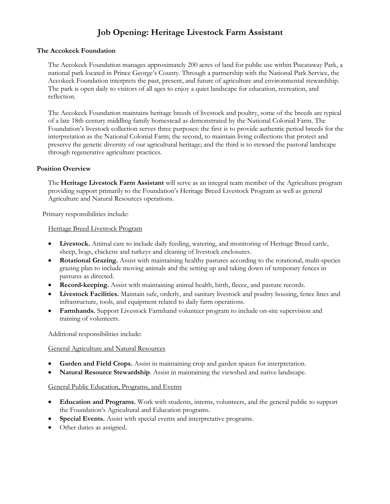# **Job Opening: Heritage Livestock Farm Assistant**

## **The Accokeek Foundation**

The Accokeek Foundation manages approximately 200 acres of land for public use within Piscataway Park, a national park located in Prince George's County. Through a partnership with the National Park Service, the Accokeek Foundation interprets the past, present, and future of agriculture and environmental stewardship. The park is open daily to visitors of all ages to enjoy a quiet landscape for education, recreation, and reflection.

The Accokeek Foundation maintains heritage breeds of livestock and poultry, some of the breeds are typical of a late 18th century middling family homestead as demonstrated by the National Colonial Farm. The Foundation's livestock collection serves three purposes: the first is to provide authentic period breeds for the interpretation as the National Colonial Farm; the second, to maintain living collections that protect and preserve the genetic diversity of our agricultural heritage; and the third is to steward the pastoral landscape through regenerative agriculture practices.

## **Position Overview**

The **Heritage Livestock Farm Assistant** will serve as an integral team member of the Agriculture program providing support primarily to the Foundation's Heritage Breed Livestock Program as well as general Agriculture and Natural Resources operations.

Primary responsibilities include:

### Heritage Breed Livestock Program

- **Livestock.** Animal care to include daily feeding, watering, and monitoring of Heritage Breed cattle, sheep, hogs, chickens and turkeys and cleaning of livestock enclosures.
- **Rotational Grazing.** Assist with maintaining healthy pastures according to the rotational, multi-species grazing plan to include moving animals and the setting up and taking down of temporary fences in pastures as directed.
- **Record-keeping.** Assist with maintaining animal health, birth, fleece, and pasture records.
- **Livestock Facilities.** Maintain safe, orderly, and sanitary livestock and poultry housing, fence lines and infrastructure, tools, and equipment related to daily farm operations.
- **Farmhands.** Support Livestock Farmhand volunteer program to include on-site supervision and training of volunteers.

Additional responsibilities include:

#### General Agriculture and Natural Resources

- **Garden and Field Crops.** Assist in maintaining crop and garden spaces for interpretation.
- **Natural Resource Stewardship**. Assist in maintaining the viewshed and native landscape.

# General Public Education, Programs, and Events

- **Education and Programs.** Work with students, interns, volunteers, and the general public to support the Foundation's Agricultural and Education programs.
- **Special Events.** Assist with special events and interpretative programs.
- Other duties as assigned.